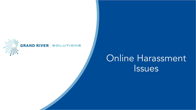

#### **GRAND RIVER SOLUTIONS**

**\**

### Online Harassment **Issues**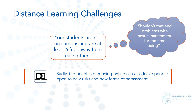#### Distance Learning Challenges

Your students are not on campus and are at least 6 feet away from each other.

Shouldn't that end problems with sexual harassment for the time being?



Sadly, the benefits of moving online can also leave people open to new risks and new forms of harassment.

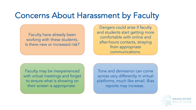#### Concerns About Harassment by Faculty

Faculty have already been working with these students. Is there new or increased risk?

Dangers could arise if faculty and students start getting more comfortable with online and after-hours contacts, straying from appropriate communications.

Faculty may be inexperienced with virtual meetings and forget to ensure what is showing on their screen is appropriate.

Tone and demeanor can come across very differently in virtual platforms, much like email. Bias reports may increase.

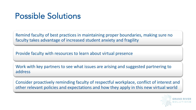#### Possible Solutions

Remind faculty of best practices in maintaining proper boundaries, making sure no faculty takes advantage of increased student anxiety and fragility

Provide faculty with resources to learn about virtual presence

Work with key partners to see what issues are arising and suggested partnering to address

Consider proactively reminding faculty of respectful workplace, conflict of interest and other relevant policies and expectations and how they apply in this new virtual world

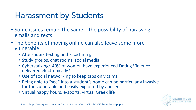### Harassment by Students

- Some issues remain the same the possibility of harassing emails and texts
- The benefits of moving online can also leave some more vulnerable
	- After-hours texting and FaceTiming
	- Study groups, chat rooms, social media
	- Cyberstalking: 40% of women have experienced Dating Violence delivered electronically\*
	- Use of social networking to keep tabs on victims
	- Being able to "see" into a student's home can be particularly invasive for the vulnerable and easily exploited by abusers
	- Virtual happy hours, e-sports, virtual Greek life

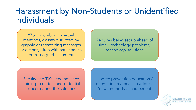#### Harassment by Non-Students or Unidentified Individuals

"Zoombombing" - virtual meetings, classes disrupted by graphic or threatening messages or actions, often with hate speech or pornographic content

Requires being set up ahead of time - technology problems, technology solutions

Faculty and TA's need advance training to understand potential concerns, and the solutions

Update prevention education / orientation materials to address 'new' methods of harassment

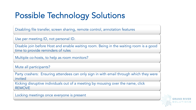# Possible Technology Solutions

Disabling file transfer, screen sharing, remote control, annotation features

Use per meeting ID, not personal ID.

Disable join before Host and enable waiting room. Being in the waiting room is a good time to provide reminders of rules

Multiple co-hosts, to help as room monitors?

Mute all participants?

Party crashers: Ensuring attendees can only sign in with email through which they were invited

Kicking disruptive individuals out of a meeting by mousing over the name, click REMOVE

Locking meetings once everyone is present

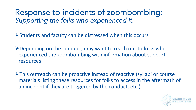Response to incidents of zoombombing: Supporting the folks who experienced it.

ØStudents and faculty can be distressed when this occurs

 $\triangleright$  Depending on the conduct, may want to reach out to folks who experienced the zoombombing with information about support resources

ØThis outreach can be proactive instead of reactive (syllabi or course materials listing these resources for folks to access in the aftermath of an incident if they are triggered by the conduct, etc.)

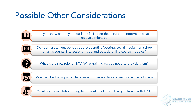#### Possible Other Considerations